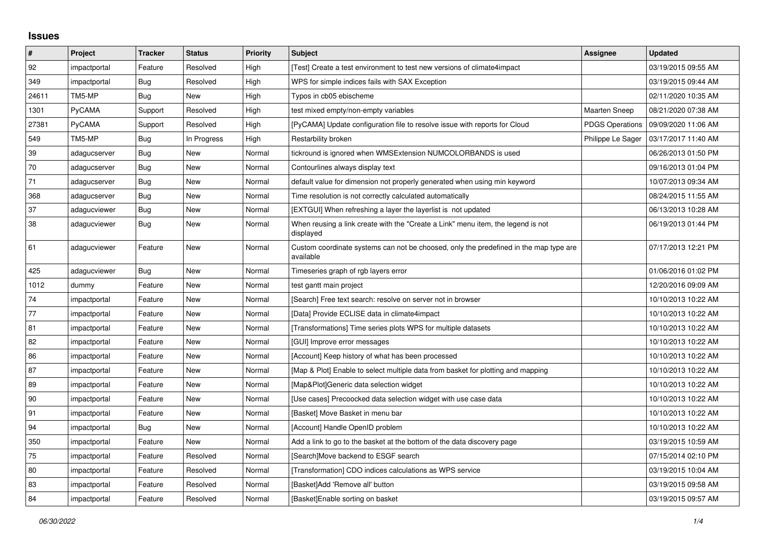## **Issues**

| #     | Project      | <b>Tracker</b> | <b>Status</b> | <b>Priority</b> | <b>Subject</b>                                                                                     | Assignee               | <b>Updated</b>      |
|-------|--------------|----------------|---------------|-----------------|----------------------------------------------------------------------------------------------------|------------------------|---------------------|
| 92    | impactportal | Feature        | Resolved      | High            | [Test] Create a test environment to test new versions of climate4impact                            |                        | 03/19/2015 09:55 AM |
| 349   | impactportal | Bug            | Resolved      | High            | WPS for simple indices fails with SAX Exception                                                    |                        | 03/19/2015 09:44 AM |
| 24611 | TM5-MP       | Bug            | New           | High            | Typos in cb05 ebischeme                                                                            |                        | 02/11/2020 10:35 AM |
| 1301  | PyCAMA       | Support        | Resolved      | High            | test mixed empty/non-empty variables                                                               | <b>Maarten Sneep</b>   | 08/21/2020 07:38 AM |
| 27381 | PyCAMA       | Support        | Resolved      | High            | [PyCAMA] Update configuration file to resolve issue with reports for Cloud                         | <b>PDGS Operations</b> | 09/09/2020 11:06 AM |
| 549   | TM5-MP       | Bug            | In Progress   | High            | Restarbility broken                                                                                | Philippe Le Sager      | 03/17/2017 11:40 AM |
| 39    | adagucserver | <b>Bug</b>     | New           | Normal          | tickround is ignored when WMSExtension NUMCOLORBANDS is used                                       |                        | 06/26/2013 01:50 PM |
| 70    | adagucserver | <b>Bug</b>     | New           | Normal          | Contourlines always display text                                                                   |                        | 09/16/2013 01:04 PM |
| 71    | adagucserver | <b>Bug</b>     | New           | Normal          | default value for dimension not properly generated when using min keyword                          |                        | 10/07/2013 09:34 AM |
| 368   | adagucserver | Bug            | New           | Normal          | Time resolution is not correctly calculated automatically                                          |                        | 08/24/2015 11:55 AM |
| 37    | adagucviewer | Bug            | New           | Normal          | [EXTGUI] When refreshing a layer the layerlist is not updated                                      |                        | 06/13/2013 10:28 AM |
| 38    | adagucviewer | Bug            | New           | Normal          | When reusing a link create with the "Create a Link" menu item, the legend is not<br>displayed      |                        | 06/19/2013 01:44 PM |
| 61    | adagucviewer | Feature        | New           | Normal          | Custom coordinate systems can not be choosed, only the predefined in the map type are<br>available |                        | 07/17/2013 12:21 PM |
| 425   | adagucviewer | Bug            | New           | Normal          | Timeseries graph of rgb layers error                                                               |                        | 01/06/2016 01:02 PM |
| 1012  | dummy        | Feature        | <b>New</b>    | Normal          | test gantt main project                                                                            |                        | 12/20/2016 09:09 AM |
| 74    | impactportal | Feature        | New           | Normal          | [Search] Free text search: resolve on server not in browser                                        |                        | 10/10/2013 10:22 AM |
| 77    | impactportal | Feature        | <b>New</b>    | Normal          | [Data] Provide ECLISE data in climate4impact                                                       |                        | 10/10/2013 10:22 AM |
| 81    | impactportal | Feature        | New           | Normal          | [Transformations] Time series plots WPS for multiple datasets                                      |                        | 10/10/2013 10:22 AM |
| 82    | impactportal | Feature        | New           | Normal          | [GUI] Improve error messages                                                                       |                        | 10/10/2013 10:22 AM |
| 86    | impactportal | Feature        | New           | Normal          | [Account] Keep history of what has been processed                                                  |                        | 10/10/2013 10:22 AM |
| 87    | impactportal | Feature        | New           | Normal          | [Map & Plot] Enable to select multiple data from basket for plotting and mapping                   |                        | 10/10/2013 10:22 AM |
| 89    | impactportal | Feature        | New           | Normal          | [Map&Plot]Generic data selection widget                                                            |                        | 10/10/2013 10:22 AM |
| 90    | impactportal | Feature        | New           | Normal          | [Use cases] Precoocked data selection widget with use case data                                    |                        | 10/10/2013 10:22 AM |
| 91    | impactportal | Feature        | New           | Normal          | [Basket] Move Basket in menu bar                                                                   |                        | 10/10/2013 10:22 AM |
| 94    | impactportal | Bug            | New           | Normal          | [Account] Handle OpenID problem                                                                    |                        | 10/10/2013 10:22 AM |
| 350   | impactportal | Feature        | New           | Normal          | Add a link to go to the basket at the bottom of the data discovery page                            |                        | 03/19/2015 10:59 AM |
| 75    | impactportal | Feature        | Resolved      | Normal          | [Search]Move backend to ESGF search                                                                |                        | 07/15/2014 02:10 PM |
| 80    | impactportal | Feature        | Resolved      | Normal          | [Transformation] CDO indices calculations as WPS service                                           |                        | 03/19/2015 10:04 AM |
| 83    | impactportal | Feature        | Resolved      | Normal          | [Basket]Add 'Remove all' button                                                                    |                        | 03/19/2015 09:58 AM |
| 84    | impactportal | Feature        | Resolved      | Normal          | [Basket]Enable sorting on basket                                                                   |                        | 03/19/2015 09:57 AM |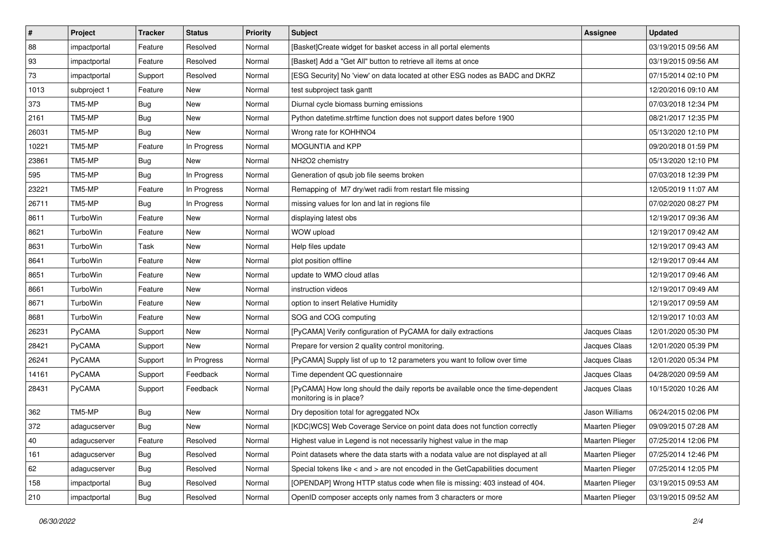| $\pmb{\#}$ | Project         | <b>Tracker</b> | <b>Status</b> | Priority | <b>Subject</b>                                                                                             | Assignee        | <b>Updated</b>      |
|------------|-----------------|----------------|---------------|----------|------------------------------------------------------------------------------------------------------------|-----------------|---------------------|
| 88         | impactportal    | Feature        | Resolved      | Normal   | [Basket]Create widget for basket access in all portal elements                                             |                 | 03/19/2015 09:56 AM |
| 93         | impactportal    | Feature        | Resolved      | Normal   | [Basket] Add a "Get All" button to retrieve all items at once                                              |                 | 03/19/2015 09:56 AM |
| 73         | impactportal    | Support        | Resolved      | Normal   | [ESG Security] No 'view' on data located at other ESG nodes as BADC and DKRZ                               |                 | 07/15/2014 02:10 PM |
| 1013       | subproject 1    | Feature        | New           | Normal   | test subproject task gantt                                                                                 |                 | 12/20/2016 09:10 AM |
| 373        | TM5-MP          | <b>Bug</b>     | <b>New</b>    | Normal   | Diurnal cycle biomass burning emissions                                                                    |                 | 07/03/2018 12:34 PM |
| 2161       | TM5-MP          | <b>Bug</b>     | New           | Normal   | Python datetime.strftime function does not support dates before 1900                                       |                 | 08/21/2017 12:35 PM |
| 26031      | TM5-MP          | <b>Bug</b>     | New           | Normal   | Wrong rate for KOHHNO4                                                                                     |                 | 05/13/2020 12:10 PM |
| 10221      | TM5-MP          | Feature        | In Progress   | Normal   | MOGUNTIA and KPP                                                                                           |                 | 09/20/2018 01:59 PM |
| 23861      | TM5-MP          | <b>Bug</b>     | New           | Normal   | NH2O2 chemistry                                                                                            |                 | 05/13/2020 12:10 PM |
| 595        | TM5-MP          | Bug            | In Progress   | Normal   | Generation of qsub job file seems broken                                                                   |                 | 07/03/2018 12:39 PM |
| 23221      | TM5-MP          | Feature        | In Progress   | Normal   | Remapping of M7 dry/wet radii from restart file missing                                                    |                 | 12/05/2019 11:07 AM |
| 26711      | TM5-MP          | <b>Bug</b>     | In Progress   | Normal   | missing values for lon and lat in regions file                                                             |                 | 07/02/2020 08:27 PM |
| 8611       | TurboWin        | Feature        | <b>New</b>    | Normal   | displaying latest obs                                                                                      |                 | 12/19/2017 09:36 AM |
| 8621       | TurboWin        | Feature        | <b>New</b>    | Normal   | WOW upload                                                                                                 |                 | 12/19/2017 09:42 AM |
| 8631       | <b>TurboWin</b> | Task           | <b>New</b>    | Normal   | Help files update                                                                                          |                 | 12/19/2017 09:43 AM |
| 8641       | TurboWin        | Feature        | New           | Normal   | plot position offline                                                                                      |                 | 12/19/2017 09:44 AM |
| 8651       | TurboWin        | Feature        | New           | Normal   | update to WMO cloud atlas                                                                                  |                 | 12/19/2017 09:46 AM |
| 8661       | TurboWin        | Feature        | <b>New</b>    | Normal   | instruction videos                                                                                         |                 | 12/19/2017 09:49 AM |
| 8671       | TurboWin        | Feature        | New           | Normal   | option to insert Relative Humidity                                                                         |                 | 12/19/2017 09:59 AM |
| 8681       | TurboWin        | Feature        | <b>New</b>    | Normal   | SOG and COG computing                                                                                      |                 | 12/19/2017 10:03 AM |
| 26231      | PyCAMA          | Support        | New           | Normal   | [PyCAMA] Verify configuration of PyCAMA for daily extractions                                              | Jacques Claas   | 12/01/2020 05:30 PM |
| 28421      | PyCAMA          | Support        | New           | Normal   | Prepare for version 2 quality control monitoring.                                                          | Jacques Claas   | 12/01/2020 05:39 PM |
| 26241      | PyCAMA          | Support        | In Progress   | Normal   | [PyCAMA] Supply list of up to 12 parameters you want to follow over time                                   | Jacques Claas   | 12/01/2020 05:34 PM |
| 14161      | PyCAMA          | Support        | Feedback      | Normal   | Time dependent QC questionnaire                                                                            | Jacques Claas   | 04/28/2020 09:59 AM |
| 28431      | <b>PyCAMA</b>   | Support        | Feedback      | Normal   | [PyCAMA] How long should the daily reports be available once the time-dependent<br>monitoring is in place? | Jacques Claas   | 10/15/2020 10:26 AM |
| 362        | TM5-MP          | <b>Bug</b>     | New           | Normal   | Dry deposition total for agreggated NOx                                                                    | Jason Williams  | 06/24/2015 02:06 PM |
| 372        | adagucserver    | <b>Bug</b>     | New           | Normal   | [KDC WCS] Web Coverage Service on point data does not function correctly                                   | Maarten Plieger | 09/09/2015 07:28 AM |
| 40         | adagucserver    | Feature        | Resolved      | Normal   | Highest value in Legend is not necessarily highest value in the map                                        | Maarten Plieger | 07/25/2014 12:06 PM |
| 161        | adagucserver    | <b>Bug</b>     | Resolved      | Normal   | Point datasets where the data starts with a nodata value are not displayed at all                          | Maarten Plieger | 07/25/2014 12:46 PM |
| 62         | adagucserver    | Bug            | Resolved      | Normal   | Special tokens like < and > are not encoded in the GetCapabilities document                                | Maarten Plieger | 07/25/2014 12:05 PM |
| 158        | impactportal    | <b>Bug</b>     | Resolved      | Normal   | [OPENDAP] Wrong HTTP status code when file is missing: 403 instead of 404.                                 | Maarten Plieger | 03/19/2015 09:53 AM |
| 210        | impactportal    | Bug            | Resolved      | Normal   | OpenID composer accepts only names from 3 characters or more                                               | Maarten Plieger | 03/19/2015 09:52 AM |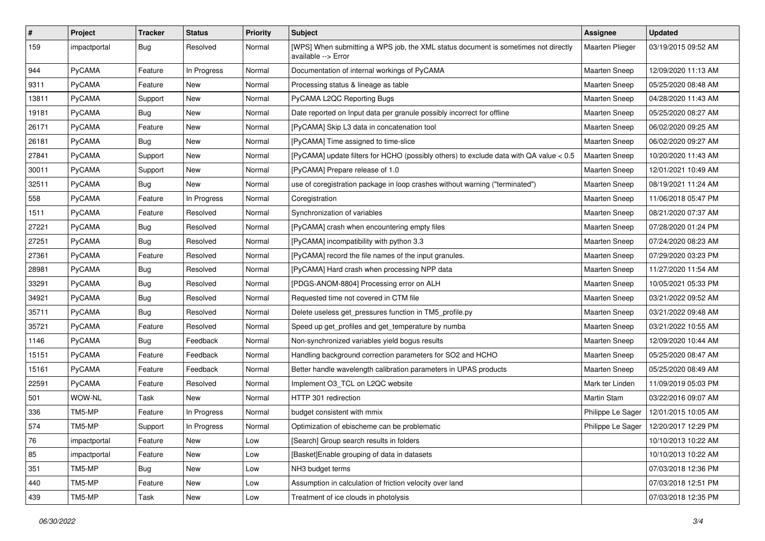| $\vert$ # | Project       | <b>Tracker</b> | <b>Status</b> | <b>Priority</b> | <b>Subject</b>                                                                                            | Assignee             | <b>Updated</b>      |
|-----------|---------------|----------------|---------------|-----------------|-----------------------------------------------------------------------------------------------------------|----------------------|---------------------|
| 159       | impactportal  | Bug            | Resolved      | Normal          | [WPS] When submitting a WPS job, the XML status document is sometimes not directly<br>available --> Error | Maarten Plieger      | 03/19/2015 09:52 AM |
| 944       | PyCAMA        | Feature        | In Progress   | Normal          | Documentation of internal workings of PyCAMA                                                              | <b>Maarten Sneep</b> | 12/09/2020 11:13 AM |
| 9311      | PyCAMA        | Feature        | New           | Normal          | Processing status & lineage as table                                                                      | <b>Maarten Sneep</b> | 05/25/2020 08:48 AM |
| 13811     | PyCAMA        | Support        | <b>New</b>    | Normal          | PyCAMA L2QC Reporting Bugs                                                                                | Maarten Sneep        | 04/28/2020 11:43 AM |
| 19181     | PyCAMA        | <b>Bug</b>     | New           | Normal          | Date reported on Input data per granule possibly incorrect for offline                                    | <b>Maarten Sneep</b> | 05/25/2020 08:27 AM |
| 26171     | PyCAMA        | Feature        | <b>New</b>    | Normal          | [PyCAMA] Skip L3 data in concatenation tool                                                               | <b>Maarten Sneep</b> | 06/02/2020 09:25 AM |
| 26181     | PyCAMA        | <b>Bug</b>     | New           | Normal          | [PyCAMA] Time assigned to time-slice                                                                      | Maarten Sneep        | 06/02/2020 09:27 AM |
| 27841     | PyCAMA        | Support        | New           | Normal          | [PyCAMA] update filters for HCHO (possibly others) to exclude data with QA value < 0.5                    | <b>Maarten Sneep</b> | 10/20/2020 11:43 AM |
| 30011     | PyCAMA        | Support        | <b>New</b>    | Normal          | [PyCAMA] Prepare release of 1.0                                                                           | Maarten Sneep        | 12/01/2021 10:49 AM |
| 32511     | <b>PyCAMA</b> | <b>Bug</b>     | New           | Normal          | use of coregistration package in loop crashes without warning ("terminated")                              | <b>Maarten Sneep</b> | 08/19/2021 11:24 AM |
| 558       | PyCAMA        | Feature        | In Progress   | Normal          | Coregistration                                                                                            | <b>Maarten Sneep</b> | 11/06/2018 05:47 PM |
| 1511      | PyCAMA        | Feature        | Resolved      | Normal          | Synchronization of variables                                                                              | <b>Maarten Sneep</b> | 08/21/2020 07:37 AM |
| 27221     | PyCAMA        | <b>Bug</b>     | Resolved      | Normal          | [PyCAMA] crash when encountering empty files                                                              | Maarten Sneep        | 07/28/2020 01:24 PM |
| 27251     | PyCAMA        | Bug            | Resolved      | Normal          | [PyCAMA] incompatibility with python 3.3                                                                  | Maarten Sneep        | 07/24/2020 08:23 AM |
| 27361     | <b>PyCAMA</b> | Feature        | Resolved      | Normal          | [PyCAMA] record the file names of the input granules.                                                     | <b>Maarten Sneep</b> | 07/29/2020 03:23 PM |
| 28981     | PyCAMA        | Bug            | Resolved      | Normal          | [PyCAMA] Hard crash when processing NPP data                                                              | <b>Maarten Sneep</b> | 11/27/2020 11:54 AM |
| 33291     | PyCAMA        | <b>Bug</b>     | Resolved      | Normal          | [PDGS-ANOM-8804] Processing error on ALH                                                                  | Maarten Sneep        | 10/05/2021 05:33 PM |
| 34921     | PyCAMA        | <b>Bug</b>     | Resolved      | Normal          | Requested time not covered in CTM file                                                                    | <b>Maarten Sneep</b> | 03/21/2022 09:52 AM |
| 35711     | PyCAMA        | Bug            | Resolved      | Normal          | Delete useless get_pressures function in TM5_profile.py                                                   | <b>Maarten Sneep</b> | 03/21/2022 09:48 AM |
| 35721     | <b>PyCAMA</b> | Feature        | Resolved      | Normal          | Speed up get profiles and get temperature by numba                                                        | Maarten Sneep        | 03/21/2022 10:55 AM |
| 1146      | PyCAMA        | Bug            | Feedback      | Normal          | Non-synchronized variables yield bogus results                                                            | <b>Maarten Sneep</b> | 12/09/2020 10:44 AM |
| 15151     | PyCAMA        | Feature        | Feedback      | Normal          | Handling background correction parameters for SO2 and HCHO                                                | <b>Maarten Sneep</b> | 05/25/2020 08:47 AM |
| 15161     | PyCAMA        | Feature        | Feedback      | Normal          | Better handle wavelength calibration parameters in UPAS products                                          | <b>Maarten Sneep</b> | 05/25/2020 08:49 AM |
| 22591     | PyCAMA        | Feature        | Resolved      | Normal          | Implement O3 TCL on L2QC website                                                                          | Mark ter Linden      | 11/09/2019 05:03 PM |
| 501       | WOW-NL        | Task           | New           | Normal          | HTTP 301 redirection                                                                                      | Martin Stam          | 03/22/2016 09:07 AM |
| 336       | TM5-MP        | Feature        | In Progress   | Normal          | budget consistent with mmix                                                                               | Philippe Le Sager    | 12/01/2015 10:05 AM |
| 574       | TM5-MP        | Support        | In Progress   | Normal          | Optimization of ebischeme can be problematic                                                              | Philippe Le Sager    | 12/20/2017 12:29 PM |
| 76        | impactportal  | Feature        | New           | Low             | [Search] Group search results in folders                                                                  |                      | 10/10/2013 10:22 AM |
| 85        | impactportal  | Feature        | New           | Low             | [Basket] Enable grouping of data in datasets                                                              |                      | 10/10/2013 10:22 AM |
| 351       | TM5-MP        | Bug            | New           | Low             | NH3 budget terms                                                                                          |                      | 07/03/2018 12:36 PM |
| 440       | TM5-MP        | Feature        | New           | Low             | Assumption in calculation of friction velocity over land                                                  |                      | 07/03/2018 12:51 PM |
| 439       | TM5-MP        | Task           | New           | Low             | Treatment of ice clouds in photolysis                                                                     |                      | 07/03/2018 12:35 PM |